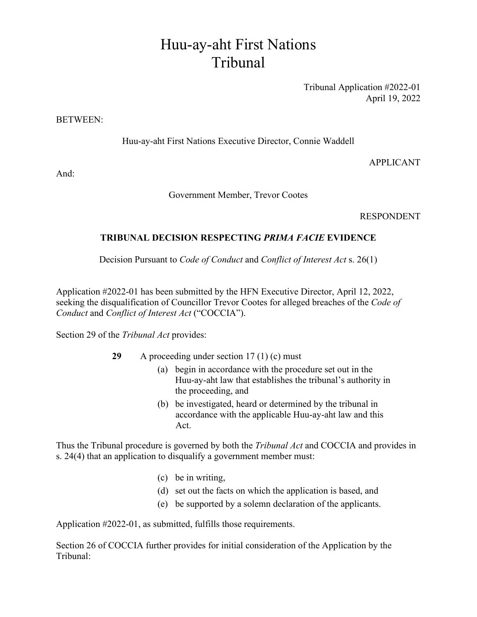## Huu-ay-aht First Nations Tribunal

Tribunal Application #2022-01 April 19, 2022

## BETWEEN:

Huu-ay-aht First Nations Executive Director, Connie Waddell

APPLICANT

And:

Government Member, Trevor Cootes

RESPONDENT

## **TRIBUNAL DECISION RESPECTING** *PRIMA FACIE* **EVIDENCE**

Decision Pursuant to *Code of Conduct* and *Conflict of Interest Act* s. 26(1)

Application #2022-01 has been submitted by the HFN Executive Director, April 12, 2022, seeking the disqualification of Councillor Trevor Cootes for alleged breaches of the *Code of Conduct* and *Conflict of Interest Act* ("COCCIA").

Section 29 of the *Tribunal Act* provides:

- **29** A proceeding under section 17 (1) (c) must
	- (a) begin in accordance with the procedure set out in the Huu-ay-aht law that establishes the tribunal's authority in the proceeding, and
	- (b) be investigated, heard or determined by the tribunal in accordance with the applicable Huu-ay-aht law and this Act.

Thus the Tribunal procedure is governed by both the *Tribunal Act* and COCCIA and provides in s. 24(4) that an application to disqualify a government member must:

- (c) be in writing,
- (d) set out the facts on which the application is based, and
- (e) be supported by a solemn declaration of the applicants.

Application #2022-01, as submitted, fulfills those requirements.

Section 26 of COCCIA further provides for initial consideration of the Application by the Tribunal: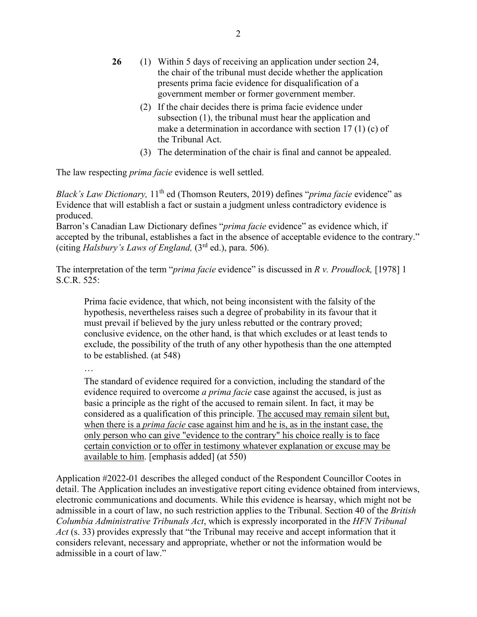- **26** (1) Within 5 days of receiving an application under section 24, the chair of the tribunal must decide whether the application presents prima facie evidence for disqualification of a government member or former government member.
	- (2) If the chair decides there is prima facie evidence under subsection (1), the tribunal must hear the application and make a determination in accordance with section 17 (1) (c) of the Tribunal Act.
	- (3) The determination of the chair is final and cannot be appealed.

The law respecting *prima facie* evidence is well settled.

*Black's Law Dictionary,* 11th ed (Thomson Reuters, 2019) defines "*prima facie* evidence" as Evidence that will establish a fact or sustain a judgment unless contradictory evidence is produced.

Barron's Canadian Law Dictionary defines "*prima facie* evidence" as evidence which, if accepted by the tribunal, establishes a fact in the absence of acceptable evidence to the contrary." (citing *Halsbury's Laws of England,* (3rd ed.), para. 506).

The interpretation of the term "*prima facie* evidence" is discussed in *R v. Proudlock,* [1978] 1 S.C.R. 525:

Prima facie evidence, that which, not being inconsistent with the falsity of the hypothesis, nevertheless raises such a degree of probability in its favour that it must prevail if believed by the jury unless rebutted or the contrary proved; conclusive evidence, on the other hand, is that which excludes or at least tends to exclude, the possibility of the truth of any other hypothesis than the one attempted to be established. (at 548)

…

The standard of evidence required for a conviction, including the standard of the evidence required to overcome *a prima facie* case against the accused, is just as basic a principle as the right of the accused to remain silent. In fact, it may be considered as a qualification of this principle. The accused may remain silent but, when there is a *prima facie* case against him and he is, as in the instant case, the only person who can give "evidence to the contrary" his choice really is to face certain conviction or to offer in testimony whatever explanation or excuse may be available to him. [emphasis added] (at 550)

Application #2022-01 describes the alleged conduct of the Respondent Councillor Cootes in detail. The Application includes an investigative report citing evidence obtained from interviews, electronic communications and documents. While this evidence is hearsay, which might not be admissible in a court of law, no such restriction applies to the Tribunal. Section 40 of the *British Columbia Administrative Tribunals Act*, which is expressly incorporated in the *HFN Tribunal Act* (s. 33) provides expressly that "the Tribunal may receive and accept information that it considers relevant, necessary and appropriate, whether or not the information would be admissible in a court of law."